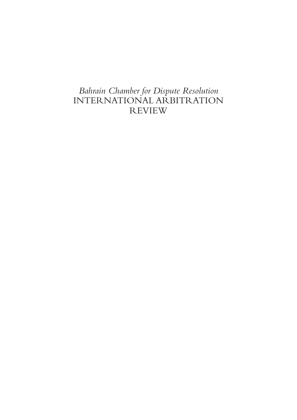## *Bahrain Chamber for Dispute Resolution* INTERNATIONAL ARBITRATION REVIEW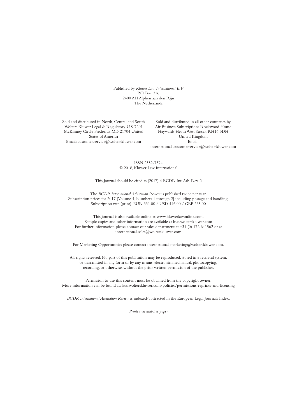Published by *Kluwer Law International B.V.* P.O. Box 316 2400 AH Alphen aan den Rijn The Netherlands

Sold and distributed in North, Central and South Wolters Kluwer Legal & Regulatory U.S. 7201 McKinney Circle Frederick MD 21704 United States of America Email: customer.service@wolterskluwer.com

Sold and distributed in all other countries by Air Business Subscriptions Rockwood House Haywards HeathWest Sussex RH16 3DH United Kingdom Email: international-customerservice@wolterskluwer.com

ISSN 2352-7374 © 2018, Kluwer Law International

#### This Journal should be cited as (2017) 4 BCDR Int.Arb. Rev. 2

The *BCDR International Arbitration Review* is published twice per year. Subscription prices for 2017 [Volume 4, Numbers 1 through 2] including postage and handling: Subscription rate (print): EUR 331.00 / USD 446.00 / GBP 265.00

This journal is also available online at www.kluwerlawonline.com. Sample copies and other information are available at lrus.wolterskluwer.com For further information please contact our sales department at +31 (0) 172 641562 or at international-sales@wolterskluwer.com

For Marketing Opportunities please contact international-marketing@wolterskluwer.com.

All rights reserved. No part of this publication may be reproduced, stored in a retrieval system, or transmitted in any form or by any means, electronic, mechanical, photocopying, recording, or otherwise, without the prior written permission of the publisher.

Permission to use this content must be obtained from the copyright owner. More information can be found at: lrus.wolterskluwer.com/policies/permissions-reprints-and-licensing

*BCDR International Arbitration Review* is indexed/abstracted in the European Legal Journals Index.

*Printed on acid-free paper*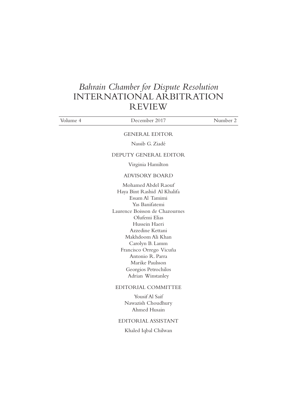### *Bahrain Chamber for Dispute Resolution* INTERNATIONAL ARBITRATION REVIEW

| Volume 4 | December 2017                                                                                                                                                                                                                                                                                                                          | Number 2 |
|----------|----------------------------------------------------------------------------------------------------------------------------------------------------------------------------------------------------------------------------------------------------------------------------------------------------------------------------------------|----------|
|          | <b>GENERAL EDITOR</b>                                                                                                                                                                                                                                                                                                                  |          |
|          | Nassib G. Ziadé                                                                                                                                                                                                                                                                                                                        |          |
|          | DEPUTY GENERAL EDITOR                                                                                                                                                                                                                                                                                                                  |          |
|          | Virginia Hamilton                                                                                                                                                                                                                                                                                                                      |          |
|          | <b>ADVISORY BOARD</b>                                                                                                                                                                                                                                                                                                                  |          |
|          | Mohamed Abdel Raouf<br>Haya Bint Rashid Al Khalifa<br>Essam Al Tamimi<br>Yas Banifatemi<br>Laurence Boisson de Chazournes<br>Olufemi Elias<br>Hussein Haeri<br>Azzedine Kettani<br>Makhdoom Ali Khan<br>Carolyn B. Lamm<br>Francisco Orrego Vicuña<br>Antonio R. Parra<br>Marike Paulsson<br>Georgios Petrochilos<br>Adrian Winstanley |          |
|          | EDITORIAL COMMITTEE                                                                                                                                                                                                                                                                                                                    |          |
|          | Yousif Al Saif<br>Nawazish Choudhury<br>Ahmed Husain                                                                                                                                                                                                                                                                                   |          |
|          | EDITORIAL ASSISTANT                                                                                                                                                                                                                                                                                                                    |          |
|          | Khaled Iqbal Chilwan                                                                                                                                                                                                                                                                                                                   |          |
|          |                                                                                                                                                                                                                                                                                                                                        |          |
|          |                                                                                                                                                                                                                                                                                                                                        |          |
|          |                                                                                                                                                                                                                                                                                                                                        |          |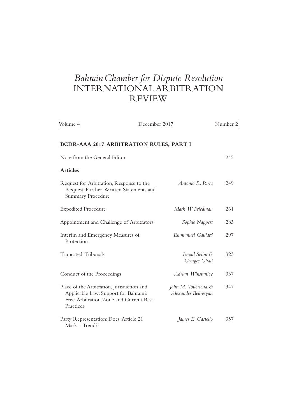# *BahrainChamber for Dispute Resolution* INTERNATIONAL ARBITRATION REVIEW

| Volume 4                                                                                                                                   | December 2017                                        | Number 2 |
|--------------------------------------------------------------------------------------------------------------------------------------------|------------------------------------------------------|----------|
| BCDR-AAA 2017 ARBITRATION RULES, PART I                                                                                                    |                                                      |          |
| Note from the General Editor                                                                                                               |                                                      | 245      |
| <b>Articles</b>                                                                                                                            |                                                      |          |
| Request for Arbitration, Response to the<br>Request, Further Written Statements and<br><b>Summary Procedure</b>                            | Antonio R. Parra                                     | 249      |
| <b>Expedited Procedure</b>                                                                                                                 | Mark W. Friedman                                     | 261      |
| Appointment and Challenge of Arbitrators                                                                                                   | Sophie Nappert                                       | 283      |
| Interim and Emergency Measures of<br>Protection                                                                                            | Emmanuel Gaillard                                    | 297      |
| <b>Truncated Tribunals</b>                                                                                                                 | Ismail Selim &<br>Georges Ghali                      | 323      |
| Conduct of the Proceedings                                                                                                                 | Adrian Winstanley                                    | 337      |
| Place of the Arbitration, Jurisdiction and<br>Applicable Law: Support for Bahrain's<br>Free Arbitration Zone and Current Best<br>Practices | John M. Townsend $\mathcal E$<br>Alexander Bedrosyan | 347      |
| Party Representation: Does Article 21<br>Mark a Trend?                                                                                     | James E. Castello                                    | 357      |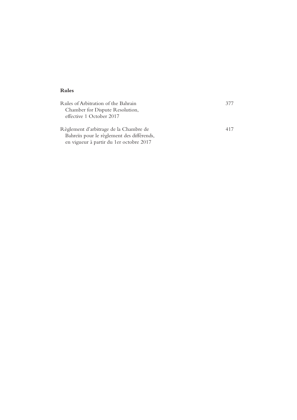### **Rules**

| Rules of Arbitration of the Bahrain<br>Chamber for Dispute Resolution,<br>effective 1 October 2017 | 377 |
|----------------------------------------------------------------------------------------------------|-----|
| Règlement d'arbitrage de la Chambre de                                                             | 417 |

Bahreïn pour le règlement des différends, en vigueur à partir du 1er octobre 2017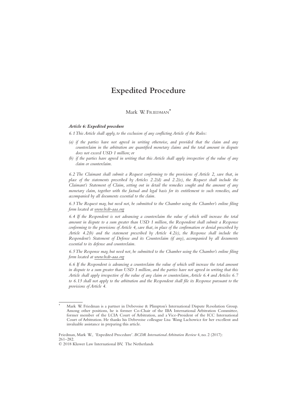### **Expedited Procedure**

Mark W. FRIEDMAN\*

#### *Article 6: Expedited procedure*

*6.1This Article shall apply, to the exclusion of any conflicting Article of the Rules:*

- *(a) if the parties have not agreed in writing otherwise, and provided that the claim and any counterclaim in the arbitration are quantified monetary claims and the total amount in dispute does not exceed USD 1 million; or*
- *(b) if the parties have agreed in writing that this Article shall apply irrespective of the value of any claim or counterclaim.*

*6.2 The Claimant shall submit a Request conforming to the provisions of Article 2, save that, in place of the statements prescribed by Articles 2.2(d) and 2.2(e), the Request shall include the Claimant's Statement of Claim, setting out in detail the remedies sought and the amount of any monetary claim, together with the factual and legal basis for its entitlement to such remedies, and accompanied by all documents essential to the claim.*

*6.3 The Request may, but need not, be submitted to the Chamber using the Chamber's online filing form located at www.bcdr-aaa.org*

*6.4 If the Respondent is not advancing a counterclaim the value of which will increase the total amount in dispute to a sum greater than USD 1 million, the Respondent shall submit a Response conforming to the provisions of Article 4, save that, in place of the confirmation or denial prescribed by Article 4.2(b) and the statement prescribed by Article 4.2(c), the Response shall include the Respondent's Statement of Defense and its Counterclaim (if any), accompanied by all documents essential to its defense and counterclaim.*

*6.5 The Response may, but need not, be submitted to the Chamber using the Chamber's online filing form located at www.bcdr-aaa.org*

*6.6 If the Respondent is advancing a counterclaim the value of which will increase the total amount in dispute to a sum greater than USD 1 million, and the parties have not agreed in writing that this Article shall apply irrespective of the value of any claim or counterclaim,Article 6.4 and Articles 6.7 to 6.13 shall not apply to the arbitration and the Respondent shall file its Response pursuant to the provisions of Article 4.*

Friedman, Mark W., 'Expedited Procedure'. *BCDR International Arbitration Review* 4, no. 2 (2017): 261–282.

© 2018 Kluwer Law International BV, The Netherlands

Mark W. Friedman is a partner in Debevoise & Plimpton's International Dispute Resolution Group. Among other positions, he is former Co-Chair of the IBA International Arbitration Committee, former member of the LCIA Court of Arbitration, and a Vice-President of the ICC International Court of Arbitration. He thanks his Debevoise colleague Lisa Wang Lachowicz for her excellent and invaluable assistance in preparing this article.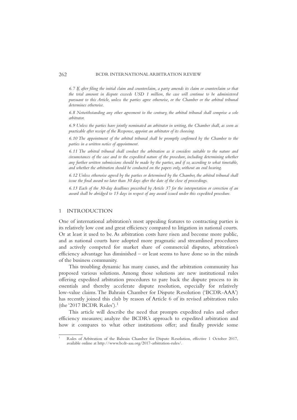*6.7 If, after filing the initial claim and counterclaim, a party amends its claim or counterclaim so that the total amount in dispute exceeds USD 1 million, the case will continue to be administered pursuant to this Article, unless the parties agree otherwise, or the Chamber or the arbitral tribunal determines otherwise.*

*6.8 Notwithstanding any other agreement to the contrary, the arbitral tribunal shall comprise a sole arbitrator.*

*6.9 Unless the parties have jointly nominated an arbitrator in writing, the Chamber shall, as soon as practicable after receipt of the Response, appoint an arbitrator of its choosing.*

*6.10 The appointment of the arbitral tribunal shall be promptly confirmed by the Chamber to the parties in a written notice of appointment.*

*6.11 The arbitral tribunal shall conduct the arbitration as it considers suitable to the nature and circumstances of the case and to the expedited nature of the procedure, including determining whether any further written submissions should be made by the parties, and if so, according to what timetable, and whether the arbitration should be conducted on the papers only, without an oral hearing.*

*6.12 Unless otherwise agreed by the parties or determined by the Chamber, the arbitral tribunal shall issue the final award no later than 30 days after the date of the close of proceedings.*

*6.13 Each of the 30-day deadlines prescribed by Article 37 for the interpretation or correction of an award shall be abridged to 15 days in respect of any award issued under this expedited procedure.*

#### 1 INTRODUCTION

One of international arbitration's most appealing features to contracting parties is its relatively low cost and great efficiency compared to litigation in national courts. Or at least it used to be. As arbitration costs have risen and become more public, and as national courts have adopted more pragmatic and streamlined procedures and actively competed for market share of commercial disputes, arbitration's efficiency advantage has diminished – or least seems to have done so in the minds of the business community.

This troubling dynamic has many causes, and the arbitration community has proposed various solutions. Among those solutions are new institutional rules offering expedited arbitration procedures to pare back the dispute process to its essentials and thereby accelerate dispute resolution, especially for relatively low-value claims.The Bahrain Chamber for Dispute Resolution ('BCDR-AAA') has recently joined this club by reason of Article 6 of its revised arbitration rules (the '2017 BCDR Rules').<sup>1</sup>

This article will describe the need that prompts expedited rules and other efficiency measures; analyze the BCDR's approach to expedited arbitration and how it compares to what other institutions offer; and finally provide some

<sup>1</sup> Rules of Arbitration of the Bahrain Chamber for Dispute Resolution, effective 1 October 2017, available online at http://www.bcdr-aaa.org/2017-arbitration-rules/.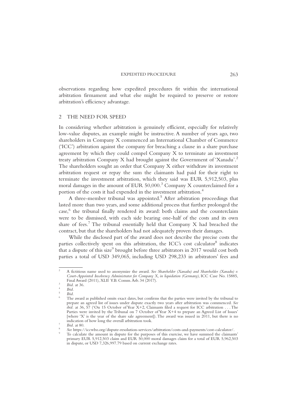observations regarding how expedited procedures fit within the international arbitration firmament and what else might be required to preserve or restore arbitration's efficiency advantage.

#### 2 THE NEED FOR SPEED

In considering whether arbitration is genuinely efficient, especially for relatively low-value disputes, an example might be instructive. A number of years ago, two shareholders in Company X commenced an International Chamber of Commerce ('ICC') arbitration against the company for breaching a clause in a share purchase agreement by which they could compel Company X to terminate an investment treaty arbitration Company X had brought against the Government of 'Xanadu'.2 The shareholders sought an order that Company X either withdraw its investment arbitration request or repay the sum the claimants had paid for their right to terminate the investment arbitration, which they said was EUR 5,912,503, plus moral damages in the amount of EUR  $50,000$ .<sup>3</sup> Company X counterclaimed for a portion of the costs it had expended in the investment arbitration.<sup>4</sup>

A three-member tribunal was appointed.<sup>5</sup> After arbitration proceedings that lasted more than two years, and some additional process that further prolonged the case,<sup>6</sup> the tribunal finally rendered its award: both claims and the counterclaim were to be dismissed, with each side bearing one-half of the costs and its own share of fees.<sup>7</sup> The tribunal essentially held that Company X had breached the contract, but that the shareholders had not adequately proven their damages.

While the disclosed part of the award does not describe the precise costs the parties collectively spent on this arbitration, the ICC's cost calculator $<sup>8</sup>$  indicates</sup> that a dispute of this size<sup>9</sup> brought before three arbitrators in 2017 would cost both parties a total of USD 349,065, including USD 298,233 in arbitrators' fees and

<sup>2</sup> A fictitious name used to anonymize the award. *See Shareholder (Xanadu) and Shareholder (Xanadu) v. Court-Appointed Insolvency Administrator for Company X, in liquidation (Germany)*, ICC Case No. 15885,

Final August (2011). Ibid. 25 (2011). Ibid. 25 (2011). *Ibid.* 25 (2014). *Ibid.* 2014). *Abid.* 2 *Ibid.* 5 **Commentary is exact dates**, but confirms that the parties were invited by the tribunal to  $\alpha$ prepare an agreed list of issues under dispute exactly two years after arbitration was commenced. *See ibid.* at 36, 57 ('On 15 October of Year X+2, Claimants filed a request for ICC arbitration . . . The Parties were invited by the Tribunal on 7 October of Year X+4 to prepare an Agreed List of Issues' [where 'X' is the year of the share sale agreement]). The award was issued in 2011, but there is no indication of how long the overall arbitration took.

*Ibid.* at 80.<br>See https://iccwbo.org/dispute-resolution-services/arbitration/costs-and-payments/cost-calculator/.<br>To calculate the amount in dispute for the purposes of this exercise, we have summed the claimants' primary EUR 5,912,503 claim and EUR 50,000 moral damages claim for a total of EUR 5,962,503 in dispute, or USD 7,326,997.79 based on current exchange rates.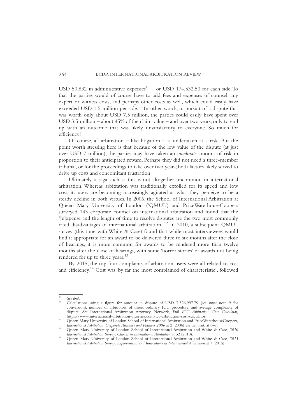USD 50,832 in administrative expenses<sup>10</sup> – or USD 174,532.50 for each side. To that the parties would of course have to add fees and expenses of counsel, any expert or witness costs, and perhaps other costs as well, which could easily have exceeded USD 1.5 million per side.<sup>11</sup> In other words, in pursuit of a dispute that was worth only about USD 7.5 million, the parties could easily have spent over USD 3.5 million – about 45% of the claim value – and over two years, only to end up with an outcome that was likely unsatisfactory to everyone. So much for efficiency!

Of course, all arbitration – like litigation – is undertaken at a risk. But the point worth stressing here is that because of the low value of the dispute (at just over USD 7 million), the parties may have taken an *inordinate* amount of risk in proportion to their anticipated reward. Perhaps they did not need a three-member tribunal, or for the proceedings to take over two years; both factors likely served to drive up costs and concomitant frustration.

Ultimately, a saga such as this is not altogether uncommon in international arbitration. Whereas arbitration was traditionally extolled for its speed and low cost, its users are becoming increasingly agitated at what they perceive to be a steady decline in both virtues. In 2006, the School of International Arbitration at Queen Mary University of London ('QMUL') and PriceWaterhouseCoopers surveyed 143 corporate counsel on international arbitration and found that the '[e]xpense and the length of time to resolve disputes are the two most commonly cited disadvantages of international arbitration'.<sup>12</sup> In 2010, a subsequent QMUL survey (this time with White & Case) found that while most interviewees would find it appropriate for an award to be delivered three to six months after the close of hearings, it is more common for awards to be rendered more than twelve months after the close of hearings, with some 'horror stories' of awards not being rendered for up to three years.<sup>13</sup>

By 2015, the top four complaints of arbitration users were all related to cost and efficiency.<sup>14</sup> Cost was 'by far the most complained of characteristic', followed

<sup>10</sup> *See ibid.* <sup>11</sup> Calculations using a figure for amount in dispute of USD 7,326,997.79 (*see supra* note 9 for conversion), number of arbitrators of three, ordinary ICC procedure, and average complexity of dispute. *See* International Arbitration Attorney Network, *Full ICC Arbitration Cost Calculator*,

<sup>&</sup>lt;sup>12</sup> Queen Mary University of London School of International Arbitration and PriceWaterhouseCoopers,<br>International Arbitration: Corporate Attitudes and Practices 2006 at 2 (2006); see also ibid. at 6–7.

<sup>&</sup>lt;sup>13</sup> Queen Mary University of London School of International Arbitration and White & Case, *2010* International Arbitration Survey: Choices in International Arbitration at 32 (2010).

Queen Mary University of London School of International Arbitration and White & Case, 2015 *International Arbitration Survey: Improvements and Innovations in International Arbitration* at 7 (2015).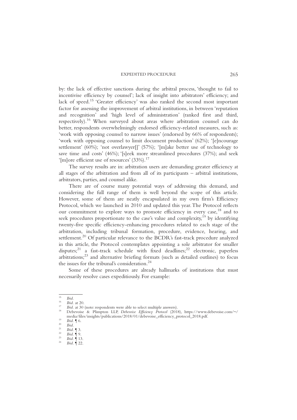by: the lack of effective sanctions during the arbitral process, 'thought to fail to incentivise efficiency by counsel'; lack of insight into arbitrators' efficiency; and lack of speed.<sup>15</sup> 'Greater efficiency' was also ranked the second most important factor for assessing the improvement of arbitral institutions, in between 'reputation and recognition' and 'high level of administration' (ranked first and third, respectively).<sup>16</sup> When surveyed about areas where arbitration counsel can do better, respondents overwhelmingly endorsed efficiency-related measures, such as: 'work with opposing counsel to narrow issues' (endorsed by 66% of respondents); 'work with opposing counsel to limit document production' (62%); '[e]ncourage settlement' (60%); 'not overlawyer[]' (57%); '[m]ake better use of technology to save time and costs' (46%); '[s]eek more streamlined procedures (37%); and seek '[m]ore efficient use of resources'  $(33\%)$ .<sup>17</sup>

The survey results are in: arbitration users are demanding greater efficiency at all stages of the arbitration and from all of its participants – arbitral institutions, arbitrators, parties, and counsel alike.

There are of course many potential ways of addressing this demand, and considering the full range of them is well beyond the scope of this article. However, some of them are neatly encapsulated in my own firm's Efficiency Protocol, which we launched in 2010 and updated this year.The Protocol reflects our commitment to explore ways to promote efficiency in every case,<sup>18</sup> and to seek procedures proportionate to the case's value and complexity, $^{19}$  by identifying twenty-five specific efficiency-enhancing procedures related to each stage of the arbitration, including tribunal formation, procedure, evidence, hearing, and settlement.<sup>20</sup> Of particular relevance to the BCDR's fast-track procedure analyzed in this article, the Protocol contemplates appointing a sole arbitrator for smaller disputes;<sup>21</sup> a fast-track schedule with fixed deadlines;<sup>22</sup> electronic, paperless arbitrations;23 and alternative briefing formats (such as detailed outlines) to focus the issues for the tribunal's consideration. $24$ 

Some of these procedures are already hallmarks of institutions that must necessarily resolve cases expeditiously. For example:

<sup>15</sup> *Ibid.* <sup>16</sup> *Ibid.* at 20. <sup>17</sup> *Ibid.* at 30 (note: respondents were able to select multiple answers). <sup>18</sup> Debevoise & Plimpton LLP, *Debevoise Efficiency Protocol* (2018), https://www.debevoise.com/~/ media/files/insights/publications/2018/01/debevoise\_efficiency\_protocol\_2018.pdf.<br>
<sup>19</sup> *Ibid.* ¶ 6.<br>
<sup>21</sup> *Ibid.* ¶ 3.<br> *Poid.* **Exercice**<br> *Ibid.* ¶ 9.<br> *Ibid.* ¶ 13.<br> *Ibid.* ¶ 122.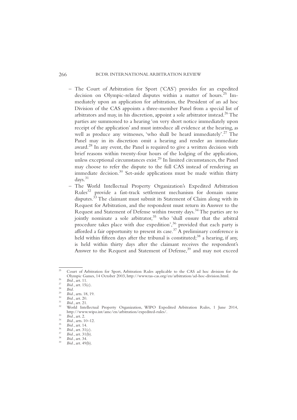- The Court of Arbitration for Sport ('CAS') provides for an expedited decision on Olympic-related disputes within a matter of hours.<sup>25</sup> Immediately upon an application for arbitration, the President of an ad hoc Division of the CAS appoints a three-member Panel from a special list of arbitrators and may, in his discretion, appoint a sole arbitrator instead.<sup>26</sup> The parties are summoned to a hearing 'on very short notice immediately upon receipt of the application' and must introduce all evidence at the hearing, as well as produce any witnesses, 'who shall be heard immediately'.<sup>27</sup> The Panel may in its discretion omit a hearing and render an immediate award.<sup>28</sup> In any event, the Panel is required to give a written decision with brief reasons within twenty-four hours of the lodging of the application, unless exceptional circumstances exist.<sup>29</sup> In limited circumstances, the Panel may choose to refer the dispute to the full CAS instead of rendering an immediate decision.<sup>30</sup> Set-aside applications must be made within thirty days.31
- The World Intellectual Property Organization's Expedited Arbitration Rules<sup>32</sup> provide a fast-track settlement mechanism for domain name disputes.<sup>33</sup> The claimant must submit its Statement of Claim along with its Request for Arbitration, and the respondent must return its Answer to the Request and Statement of Defense within twenty days.<sup>34</sup> The parties are to jointly nominate a sole arbitrator,<sup>35</sup> who 'shall ensure that the arbitral procedure takes place with due expedition',<sup>36</sup> provided that each party is afforded a fair opportunity to present its case.<sup>37</sup> A preliminary conference is held within fifteen days after the tribunal is constituted; $38$  a hearing, if any, is held within thirty days after the claimant receives the respondent's Answer to the Request and Statement of Defense,<sup>39</sup> and may not exceed

Court of Arbitration for Sport, Arbitration Rules applicable to the CAS ad hoc division for the Olympic Games, 14 October 2003, http://www.tas-cas.org/en/arbitration/ad-hoc-division.html.

<sup>&</sup>lt;sup>26</sup><br>
<sup>27</sup><br> *Bid.*, art. 15(c).<br>
<sup>29</sup><br> *Bid.*, art. 15(c).<br>
<sup>29</sup><br> *Bid.*, art. 15(c).<br>
<sup>29</sup><br> *Bid.*, art. 20.<br> *Bid.*, art. 20.<br> *Bid.*, art. 21.<br>
World Intellectual Property Organization, WIPO Expedited Arbitration Rules, http://www.wipo.int/amc/en/arbitration/expedited-rules/.<br>
33 Ibid., art. 2.<br>
Ibid., arts. 10–12.<br>
35 Ibid., art. 14.<br>
36 Ibid., art. 31(c).<br>
37 Ibid., art. 31(c).<br>
38 Ibid., art. 31(b).<br>
39 Ibid., art. 34.<br>
39 Ibid., art.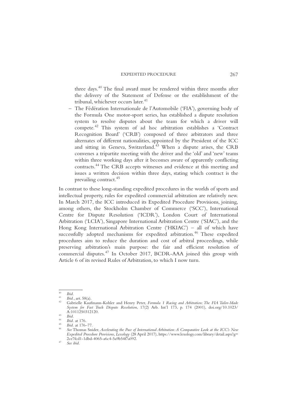three days.<sup>40</sup> The final award must be rendered within three months after the delivery of the Statement of Defense or the establishment of the tribunal, whichever occurs later.<sup>41</sup>

– The Fédération Internationale de l'Automobile ('FIA'), governing body of the Formula One motor-sport series, has established a dispute resolution system to resolve disputes about the team for which a driver will compete.<sup>42</sup> This system of ad hoc arbitration establishes a 'Contract Recognition Board' ('CRB') composed of three arbitrators and three alternates of different nationalities, appointed by the President of the ICC and sitting in Geneva, Switzerland. $43$  When a dispute arises, the CRB convenes a tripartite meeting with the driver and the 'old' and 'new' teams within three working days after it becomes aware of apparently conflicting contracts.44 The CRB accepts witnesses and evidence at this meeting and issues a written decision within three days, stating which contract is the prevailing contract.<sup>45</sup>

In contrast to these long-standing expedited procedures in the worlds of sports and intellectual property, rules for expedited commercial arbitration are relatively new. In March 2017, the ICC introduced its Expedited Procedure Provisions, joining, among others, the Stockholm Chamber of Commerce ('SCC'), International Centre for Dispute Resolution ('ICDR'), London Court of International Arbitration ('LCIA'), Singapore International Arbitration Centre ('SIAC'), and the Hong Kong International Arbitration Centre ('HKIAC') – all of which have successfully adopted mechanisms for expedited arbitration.<sup>46</sup> These expedited procedures aim to reduce the duration and cost of arbitral proceedings, while preserving arbitration's main purpose: the fair and efficient resolution of commercial disputes.<sup>47</sup> In October 2017, BCDR-AAA joined this group with Article 6 of its revised Rules of Arbitration, to which I now turn.

<sup>40</sup> *Ibid.* <sup>41</sup> *Ibid.*, art. 58(a). <sup>42</sup> Gabrielle Kaufmann-Kohler and Henry Peter, *Formula 1 Racing and Arbitration: The FIA Tailor-Made System for Fast Track Dispute Resolution*, 17(2) Arb. Int'l 173, p. 174 (2001), doi.org/10.1023/

A:1011250312120. <sup>43</sup> *Ibid.* <sup>44</sup> *Ibid.* at 176. <sup>45</sup> *Ibid.* at 176–77. <sup>46</sup> *See* Thomas Snider, *Accelerating the Pace of International Arbitration:A Comparative Look at the ICC's New Expedited Procedure Provisions*, *Lexology* (28 April 2017), https://www.lexology.com/library/detail.aspx?g= 2ce7fcd1-1dbd-4065-a6c4-5a9b54f7a092.<br>See ibid.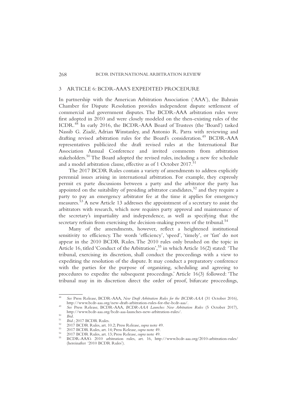#### 3 ARTICLE 6: BCDR-AAA'S EXPEDITED PROCEDURE

In partnership with the American Arbitration Association ('AAA'), the Bahrain Chamber for Dispute Resolution provides independent dispute settlement of commercial and government disputes. The BCDR-AAA arbitration rules were first adopted in 2010 and were closely modeled on the then-existing rules of the ICDR.<sup>48</sup> In early 2016, the BCDR-AAA Board of Trustees (the 'Board') tasked Nassib G. Ziadé, Adrian Winstanley, and Antonio R. Parra with reviewing and drafting revised arbitration rules for the Board's consideration.<sup>49</sup> BCDR-AAA representatives publicized the draft revised rules at the International Bar Association Annual Conference and invited comments from arbitration stakeholders.<sup>50</sup> The Board adopted the revised rules, including a new fee schedule and a model arbitration clause, effective as of 1 October 2017.<sup>51</sup>

The 2017 BCDR Rules contain a variety of amendments to address explicitly perennial issues arising in international arbitration. For example, they expressly permit ex parte discussions between a party and the arbitrator the party has appointed on the suitability of presiding arbitrator candidates,<sup>52</sup> and they require a party to pay an emergency arbitrator fee at the time it applies for emergency measures.53 A new Article 13 addresses the appointment of a secretary to assist the arbitrators with research, which now requires party approval and maintenance of the secretary's impartiality and independence, as well as specifying that the secretary refrain from exercising the decision-making powers of the tribunal.<sup>54</sup>

Many of the amendments, however, reflect a heightened institutional sensitivity to efficiency. The words 'efficiency', 'speed', 'timely', or 'fast' do not appear in the 2010 BCDR Rules. The 2010 rules only brushed on the topic in Article 16, titled 'Conduct of the Arbitration',<sup>55</sup> in which Article 16(2) stated: 'The tribunal, exercising its discretion, shall conduct the proceedings with a view to expediting the resolution of the dispute. It may conduct a preparatory conference with the parties for the purpose of organizing, scheduling and agreeing to procedures to expedite the subsequent proceedings.' Article 16(3) followed: 'The tribunal may in its discretion direct the order of proof, bifurcate proceedings,

See Press Release, BCDR-AAA, *New Draft Arbitration Rules for the BCDR-AAA* (31 October 2016), http://www.bcdr-aaa.org/new-draft-arbitration-rules-for-the-bcdr-aaa/.

See Press Release, BCDR-AAA, *BCDR-AAA Launches New Arbitration Rules* (5 October 2017), http://www.bcdr-aaa.org/bcdr-aaa-launches-new-arbitration-rules/.

<sup>&</sup>lt;sup>50</sup> Ibid.<br>
<sup>51</sup> Ibid.; 2017 BCDR Rules.<br>
<sup>52</sup> 2017 BCDR Rules, art. 10.2; Press Release, *supra* note 49.<br>
<sup>53</sup> 2017 BCDR Rules, art. 14; Press Release, *supra* note 49.<br>
<sup>54</sup> 2017 BCDR Rules, art. 13; Press Release, *sup* (hereinafter '2010 BCDR Rules').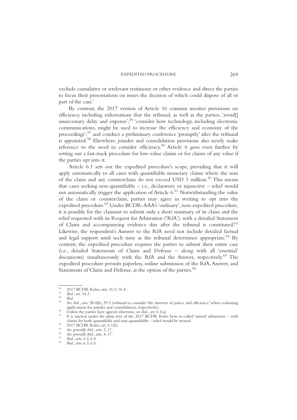exclude cumulative or irrelevant testimony or other evidence and direct the parties to focus their presentations on issues the decision of which could dispose of all or part of the case.'

By contrast, the 2017 version of Article 16 contains meatier provisions on efficiency, including exhortations that the tribunal, as well as the parties, 'avoid[] unnecessary delay and expense';<sup>56</sup> 'consider how technology, including electronic communications, might be used to increase the efficiency and economy of the proceedings';<sup>57</sup> and conduct a preliminary conference 'promptly' after the tribunal is appointed.<sup>58</sup> Elsewhere, joinder and consolidation provisions also newly make reference to the need to consider efficiency.<sup>59</sup> Article 6 goes even further by setting out a fast-track procedure for low-value claims or for claims of any value if the parties opt into it.

Article 6.1 sets out the expedited procedure's scope, providing that it will apply automatically to all cases with quantifiable monetary claims where the sum of the claim and any counterclaim do not exceed USD 1 million.<sup>60</sup> This means that cases seeking non-quantifiable  $-$  i.e., declaratory or injunctive  $-$  relief would not automatically trigger the application of Article  $6<sup>61</sup>$  Notwithstanding the value of the claim or counterclaim, parties may agree in writing to opt into the expedited procedure.<sup>62</sup> Under BCDR-AAA's 'ordinary', non-expedited procedure, it is possible for the claimant to submit only a short summary of its claim and the relief requested with its Request for Arbitration ('RfA'), with a detailed Statement of Claim and accompanying evidence due after the tribunal is constituted.<sup>63</sup> Likewise, the respondent's Answer to the RfA need not include detailed factual and legal support until such time as the tribunal determines appropriate.<sup>64</sup> By contrast, the expedited procedure requires the parties to submit their entire case (i.e., detailed Statements of Claim and Defense – along with all 'essential' documents) simultaneously with the RfA and the Answer, respectively.<sup>65</sup> The expedited procedure permits paperless, online submission of the RfA, Answer, and Statements of Claim and Defense, at the option of the parties.<sup>66</sup>

<sup>56</sup> 2017 BCDR Rules, arts. 16.2, 16.4. <sup>57</sup> *Ibid.*, art. 16.3. <sup>58</sup> *Ibid.* <sup>59</sup> *See ibid.*, arts. 28.4(b), 29.3 (tribunal to consider 'the interests of justice and efficiency' when evaluating

Unless the parties have agreed otherwise, *see ibid.*, art.  $6.1(a)$ .<br>It is unclear under the plain text of the 2017 BCDR Rules how so-called 'mixed' arbitration – with claims for both quantifiable and non-quantifiable – relief would be treated.<br>
<sup>62</sup> 2017 BCDR Rules, art. 6.1(b).<br>
<sup>63</sup> *See generally ibid.*, arts. 2, 17.<br>
<sup>64</sup> *See generally ibid.*, arts. 4, 17.<br>
<sup>65</sup> *Ibid.*, arts. 6.2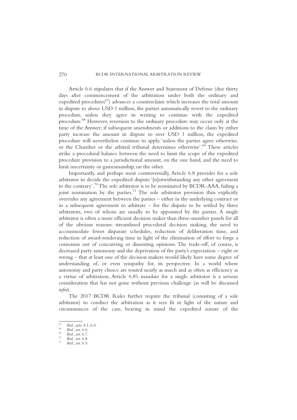Article 6.6 stipulates that if the Answer and Statement of Defense (due thirty days after commencement of the arbitration under both the ordinary and expedited procedures<sup>67</sup>) advances a counterclaim which increases the total amount in dispute to above USD 1 million, the parties automatically revert to the ordinary procedure, unless they agree in writing to continue with the expedited procedure.<sup>68</sup> However, reversion to the ordinary procedure may occur only at the time of the Answer; if subsequent amendments or additions to the claim by either party increase the amount in dispute to over USD 1 million, the expedited procedure will nevertheless continue to apply, 'unless the parties agree otherwise, or the Chamber or the arbitral tribunal determines otherwise'.<sup>69</sup> These articles strike a procedural balance between the need to limit the scope of the expedited procedure provision to a jurisdictional amount, on the one hand, and the need to limit uncertainty or gamesmanship, on the other.

Importantly, and perhaps most controversially, Article 6.8 provides for a sole arbitrator to decide the expedited dispute '[n]otwithstanding any other agreement to the contrary'.<sup>70</sup>The sole arbitrator is to be nominated by BCDR-AAA, failing a joint nomination by the parties.<sup>71</sup> The sole arbitrator provision thus explicitly overrides any agreement between the parties – either in the underlying contract or in a subsequent agreement to arbitrate – for the dispute to be settled by three arbitrators, two of whom are usually to be appointed by the parties. A single arbitrator is often a more efficient decision maker than three-member panels for all of the obvious reasons: streamlined procedural decision making, the need to accommodate fewer disparate schedules, reduction of deliberation time, and reduction of award-rendering time in light of the elimination of effort to forge a consensus out of concurring or dissenting opinions. The trade-off, of course, is decreased party autonomy and the deprivation of the party's expectation – right or wrong – that at least one of the decision makers would likely have some degree of understanding of, or even sympathy for, its perspective. In a world where autonomy and party choice are touted nearly as much and as often as efficiency as a virtue of arbitration, Article 6.8's mandate for a single arbitrator is a serious consideration that has not gone without previous challenge (as will be discussed *infra*).

The 2017 BCDR Rules further require the tribunal (consisting of a sole arbitrator) to conduct the arbitration as it sees fit in light of the nature and circumstances of the case, bearing in mind the expedited nature of the

<sup>67</sup> *Ibid.*, arts. 4.1, 6.4.<br>
68 *Ibid.*, art. 6.6.<br>
69 *Ibid.*, art. 6.7.<br>
70 *Ibid.*, art. 6.9.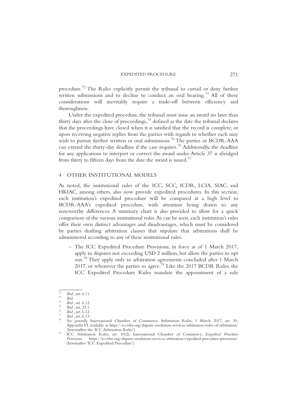procedure.<sup>72</sup> The Rules explicitly permit the tribunal to curtail or deny further written submissions and to decline to conduct an oral hearing.<sup>73</sup> All of these considerations will inevitably require a trade-off between efficiency and thoroughness.

Under the expedited procedure, the tribunal must issue an award no later than thirty days after the close of proceedings,  $74$  defined as the date the tribunal declares that the proceedings have closed when it is satisfied that the record is complete, or upon receiving negative replies from the parties with regards to whether each may wish to pursue further written or oral submissions.<sup>75</sup> The parties or BCDR-AAA can extend the thirty-day deadline if the case requires.76 Additionally, the deadline for any applications to interpret or correct the award under Article 37 is abridged from thirty to fifteen days from the date the award is issued.<sup>77</sup>

#### 4 OTHER INSTITUTIONAL MODELS

As noted, the institutional rules of the ICC, SCC, ICDR, LCIA, SIAC, and HKIAC, among others, also now provide expedited procedures. In this section, each institution's expedited procedure will be compared at a high level to BCDR-AAA's expedited procedure, with attention being drawn to any noteworthy differences. A summary chart is also provided to allow for a quick comparison of the various institutional rules.As can be seen, each institution's rules offer their own distinct advantages and disadvantages, which must be considered by parties drafting arbitration clauses that stipulate that arbitrations shall be administered according to any of these institutional rules.

– The ICC Expedited Procedure Provisions, in force as of 1 March 2017, apply to disputes not exceeding USD 2 million, but allow the parties to opt out.<sup>78</sup> They apply only to arbitration agreements concluded after 1 March 2017, or whenever the parties so agree.<sup>79</sup> Like the 2017 BCDR Rules, the ICC Expedited Procedure Rules mandate the appointment of a sole

<sup>&</sup>lt;sup>72</sup> Ibid., art. 6.11.<br>
<sup>73</sup> Ibid., art. 6.12.<br>
<sup>75</sup> Ibid., art. 6.12.<br>
<sup>75</sup> Ibid., art. 6.12.<br>
<sup>76</sup> Ibid., art. 6.13.<br>
<sup>76</sup> Ibid., art. 6.13.<br>
<sup>77</sup> Ibid., art. 6.13.<br>
<sup>77</sup> Ibid., art. 6.13.<br> *8ee generally* International Appendix VI, available at https://iccwbo.org/dispute-resolution-services/arbitration/rules-of-arbitration/<br>(hereinafter, the 'ICC Arbitration Rules').

ICC Arbitration Rules, art. 30(2); International Chamber of Commerce, *Expedited Procedure*<br>Provisions, https://iccwbo.org/dispute-resolution-services/arbitration/expedited-procedure-provisions/ *Provisions*, https://iccwbo.org/dispute-resolution-services/arbitration/expedited-procedure-provisions/ (hereinafter 'ICC Expedited Procedure').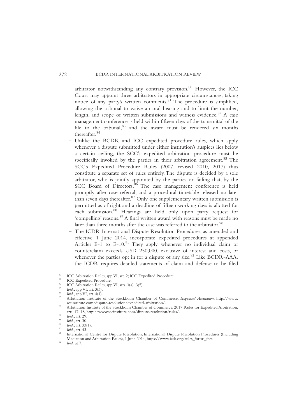arbitrator notwithstanding any contrary provision.<sup>80</sup> However, the ICC Court may appoint three arbitrators in appropriate circumstances, taking notice of any party's written comments. $81$  The procedure is simplified, allowing the tribunal to waive an oral hearing and to limit the number, length, and scope of written submissions and witness evidence.<sup>82</sup> A case management conference is held within fifteen days of the transmittal of the file to the tribunal, $83$  and the award must be rendered six months thereafter.<sup>84</sup>

- Unlike the BCDR and ICC expedited procedure rules, which apply whenever a dispute submitted under either institution's auspices lies below a certain ceiling, the SCC's expedited arbitration procedure must be specifically invoked by the parties in their arbitration agreement.<sup>85</sup> The SCC's Expedited Procedure Rules (2007, revised 2010, 2017) thus constitute a separate set of rules entirely. The dispute is decided by a sole arbitrator, who is jointly appointed by the parties or, failing that, by the SCC Board of Directors.<sup>86</sup> The case management conference is held promptly after case referral, and a procedural timetable released no later than seven days thereafter. $87$  Only one supplementary written submission is permitted as of right and a deadline of fifteen working days is allotted for each submission.<sup>88</sup> Hearings are held only upon party request for 'compelling' reasons.<sup>89</sup> A final written award with reasons must be made no later than three months after the case was referred to the arbitrator.<sup>90</sup>
- The ICDR International Dispute Resolution Procedures, as amended and effective 1 June 2014, incorporate expedited procedures at appended Articles E-1 to E-10.<sup>91</sup> They apply whenever no individual claim or counterclaim exceeds USD 250,000, exclusive of interest and costs, or whenever the parties opt in for a dispute of any size.<sup>92</sup> Like BCDR-AAA, the ICDR requires detailed statements of claim and defense to be filed

<sup>&</sup>lt;sup>80</sup><br>
ICC Arbitration Rules, app.VI, art. 2; ICC Expedited Procedure.<br>
<sup>81</sup><br>
ICC Expedited Procedure.<br>
<sup>82</sup><br>
ICC Arbitration Rules, app.VI, arts. 3(4)–3(5).<br>
<sup>83</sup><br> *Ibid.*, app.VI, art. 4(1).<br>
<sup>84</sup><br> *Arbitration Institute* 

Arbitration Institute of the Stockholm Chamber of Commerce, 2017 Rules for Expedited Arbitration, arts. 17–18, http://www.sccinstitute.com/dispute-resolution/rules/.

<sup>&</sup>lt;sup>87</sup> Ibid., art. 29.<br><sup>88</sup> Ibid., art. 30.<br><sup>89</sup> Ibid., art. 33(1).<br><sup>90</sup> Ibid., art. 43.<br><sup>91</sup> International Centre for Dispute Resolution, International Dispute Resolution Procedures (Including Mediation and Arbitration Rules), 1 June 2014, https://www.icdr.org/rules\_forms\_fees. *Ibid.* at 7.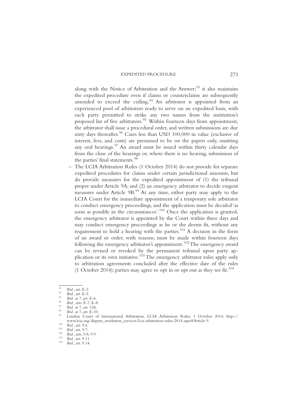along with the Notice of Arbitration and the Answer; $^{93}$  it also maintains the expedited procedure even if claims or counterclaims are subsequently amended to exceed the ceiling. $94$  An arbitrator is appointed from an experienced pool of arbitrators ready to serve on an expedited basis, with each party permitted to strike any two names from the institution's proposed list of five arbitrators.<sup>95</sup> Within fourteen days from appointment, the arbitrator shall issue a procedural order, and written submissions are due sixty days thereafter.<sup>96</sup> Cases less than USD 100,000 in value (exclusive of interest, fees, and costs) are presumed to be on the papers only, omitting any oral hearings.<sup>97</sup> An award must be issued within thirty calendar days from the close of the hearings or, where there is no hearing, submission of the parties' final statements.<sup>98</sup>

– The LCIA Arbitration Rules (1 October 2014) do not provide for separate expedited procedures for claims under certain jurisdictional amounts, but do provide measures for the expedited appointment of (1) the tribunal proper under Article 9A; and (2) an emergency arbitrator to decide exigent measures under Article 9B.<sup>99</sup> At any time, either party may apply to the LCIA Court for the immediate appointment of a temporary sole arbitrator to conduct emergency proceedings, and the application must be decided 'as soon as possible in the circumstances'.<sup>100</sup> Once the application is granted, the emergency arbitrator is appointed by the Court within three days and may conduct emergency proceedings as he or she deems fit, without any requirement to hold a hearing with the parties.<sup>101</sup> A decision in the form of an award or order, with reasons, must be made within fourteen days following the emergency arbitrator's appointment.<sup>102</sup> The emergency award can be revised or revoked by the permanent tribunal upon party application or its own initiative.<sup>103</sup> The emergency arbitrator rules apply only to arbitration agreements concluded after the effective date of the rules (1 October 2014); parties may agree to opt in or opt out as they see fit.<sup>104</sup>

<sup>&</sup>lt;sup>93</sup> Ibid., art. E-2.<br>
<sup>94</sup> Ibid., art. E-5.<br>
<sup>95</sup> Ibid. at 7, art. E-6.<br>
<sup>96</sup> Ibid., arts. E-7, E-8.<br>
<sup>97</sup> Ibid. at 7, art. 1(4).<br>
<sup>97</sup> Ibid. at 7, art. E-10.<br>
<sup>97</sup> Ibid. at 7, art. E-10.<br>
<sup>99</sup> Ibid. at 7, art. E-10.<br>
<sup>9</sup> www.lcia.org/dispute\_resolution\_services/lcia-arbitration-rules-2014.aspx#Article 9.<br>
<sup>100</sup><br> *Ibid.*, art. 9.6.<br> *Ibid.*, art. 9.7.<br> *Ibid.*, arts. 9.8, 9.9.<br> *Ibid.*, art. 9.11.<br> *Ibid.*, art. 9.11.<br> *Ibid.*, art. 9.14.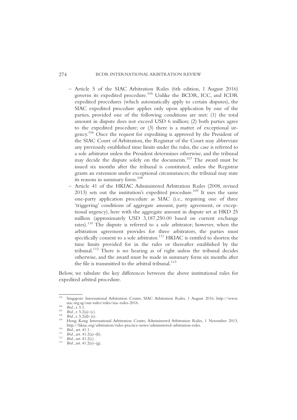- Article 5 of the SIAC Arbitration Rules (6th edition, 1 August 2016) governs its expedited procedure.<sup>105</sup> Unlike the BCDR, ICC, and ICDR expedited procedures (which automatically apply to certain disputes), the SIAC expedited procedure applies only upon application by one of the parties, provided one of the following conditions are met: (1) the total amount in dispute does not exceed USD 6 million; (2) both parties agree to the expedited procedure; or (3) there is a matter of exceptional urgency.106 Once the request for expediting is approved by the President of the SIAC Court of Arbitration, the Registrar of the Court may abbreviate any previously established time limits under the rules, the case is referred to a sole arbitrator unless the President determines otherwise, and the tribunal may decide the dispute solely on the documents.<sup>107</sup> The award must be issued six months after the tribunal is constituted, unless the Registrar grants an extension under exceptional circumstances; the tribunal may state its reasons in summary form.108
- Article 41 of the HKIAC Administered Arbitration Rules (2008, revised  $2013$ ) sets out the institution's expedited procedure.<sup>109</sup> It uses the same one-party application procedure as SIAC (i.e., requiring one of three 'triggering' conditions of aggregate amount, party agreement, or exceptional urgency), here with the aggregate amount in dispute set at HKD 25 million (approximately USD 3,187,250.00 based on current exchange rates).<sup>110</sup> The dispute is referred to a sole arbitrator; however, when the arbitration agreement provides for three arbitrators, the parties must specifically consent to a sole arbitrator.<sup>111</sup> HKIAC is entitled to shorten the time limits provided for in the rules or thereafter established by the tribunal.<sup>112</sup> There is no hearing as of right unless the tribunal decides otherwise, and the award must be made in summary form six months after the file is transmitted to the arbitral tribunal.<sup>113</sup>

Below, we tabulate the key differences between the above institutional rules for expedited arbitral procedure.

<sup>&</sup>lt;sup>105</sup> Singapore International Arbitration Centre, SIAC Arbitration Rules, 1 August 2016, http://www.<br>siac.org.sg/our-rules/rules/siac-rules-2016.

<sup>&</sup>lt;sup>106</sup> Ibid., r. 5.1.<br><sup>107</sup> Ibid., r. 5.2(a)–(c).<br><sup>108</sup> Ibid., r. 5.2(a)–(e).<br><sup>108</sup> Hong Kong International Arbitration Centre. Administered Arbitration Rules. 1 November 2013. http://hkiac.org/arbitration/rules-practice-notes/administered-arbitration-rules.<br>
<sup>110</sup> *Ibid.*, art. 41.1.<br>
<sup>111</sup> *Ibid.*, art. 41.2(a)–(b).<br>
<sup>112</sup> *Ibid.*, art. 41.2(c).<br>
<sup>113</sup> *Ibid.*, art. 41.2(e)–(g).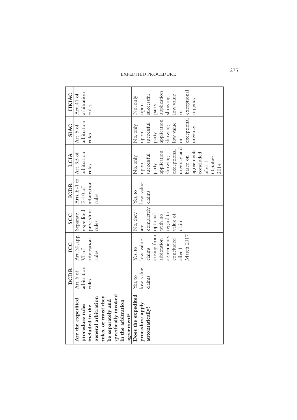|                                  | <b>BCDR</b> | ICC                    | <b>SCC</b>        | <b>ICDR</b>               | LCIA                  | <b>SIAC</b>             | <b>HKIAC</b>   |
|----------------------------------|-------------|------------------------|-------------------|---------------------------|-----------------------|-------------------------|----------------|
| Are the expedited                | Art. 6 of   | Art. 30, app. Separate |                   | Arts. E-1 to   Art. 9B of |                       | Art. 5 of               | Art. 41 of     |
| procedure rules                  | arbitration | VI of                  | expedited         | $E-10$ of                 | arbitration           | arbitration             | arbitration    |
| included in the                  | rules       | arbitration            | procedure         | arbitration               | rules                 | rules                   | rules          |
| general arbitration              |             | rules                  | rules             | rules                     |                       |                         |                |
| rules, or must they              |             |                        |                   |                           |                       |                         |                |
| be separately and                |             |                        |                   |                           |                       |                         |                |
| specifically invoked             |             |                        |                   |                           |                       |                         |                |
| in the arbitration<br>agreement? |             |                        |                   |                           |                       |                         |                |
| Does the expedited               | Yes, to     | Yes, to                | No, they          | Yes, to                   | No, only              | No, only                | No, only       |
| procedure apply                  | low-value   | low-value              | are               | low-value                 | upon                  | upon                    | upon           |
| automatically?                   | claims      | claims                 | completely claims |                           | successful            | successful              | successful     |
|                                  |             | arising from optional  |                   |                           | party                 | party                   | party          |
|                                  |             | arbitration            | with no           |                           | application           | application application |                |
|                                  |             | agreements             | regard to         |                           | showing               | showing                 | showing        |
|                                  |             | concluded              | value of          |                           | exceptional low value |                         | low value      |
|                                  |             | after 1                | claim             |                           | urgency and           | $ $ or                  | $\overline{C}$ |
|                                  |             | March 2017             |                   |                           | based on              | exceptional exceptional |                |
|                                  |             |                        |                   |                           | agreements            | urgency                 | urgency        |
|                                  |             |                        |                   |                           | concluded             |                         |                |
|                                  |             |                        |                   |                           | after 1               |                         |                |
|                                  |             |                        |                   |                           | October               |                         |                |
|                                  |             |                        |                   |                           | 2014                  |                         |                |
|                                  |             |                        |                   |                           |                       |                         |                |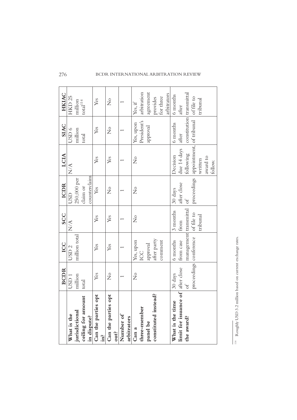#### arbitration constitution transmittal HKIAC arbitration agreement agreement arbitrators transmittal **BCDR ICC SCC ICDR LCIA SIAC HKIAC** arbitrators 6 months provides HKD<sub>25</sub> for three 6 months of file to  $\cdot$ total $^{114}$ HKD 25 tribunal Yes  $\stackrel{\circ}{\mathbf{Z}}$ million Yes Yes Yes Yes Yes Yes Yes No Yes Yes No Yes No No Yes, if 1111 1 11 after constitution proceedings appointment, of tribunal President's Yes, upon of tribunal President's 6 months **SIAC** No No No No Nombon 6 months Yes  $\stackrel{\circ}{Z}$ approval USD 6 million N/A USD 6  $\overline{ }$ after total appointment, due 14 days due 14 days following LCIA Decision award to Yes  $\frac{1}{2}$ Decision Yes written  $\overline{\phantom{0}}$ follow.  $N/A$ counterclaim counterclaim 250,000 per 250,000 per proceedings after close **ICDR** after close claim or Yes  $\frac{1}{2}$  $\stackrel{\circ}{\mathbf{Z}}$ 30 days  $\overline{ }$ USD N/A USD of management transmittal 3 months transmittal of file to 3 months **SCC** tribunal  $\stackrel{\circ}{\mathbf{Z}}$ Yes Yes  $\overline{\phantom{0}}$ from  $N/A$ million total management million total proceedings conference conference after party from case comment 6 months Yes, upon No Yes, upon comment ICC approval 6 months from case Yes Yes USD 2 ICC proceedings limit for issuance of after close **BCDR** after close million Yes  $\stackrel{\circ}{Z}$  $\stackrel{\circ}{\mathbf{Z}}$ USD 1 30 days  $\overline{\phantom{0}}$ total of **limit for issuance of** Can the parties opt constituted instead? Can the parties opt **constituted instead?** ceiling for amount **Can the parties opt Can the parties opt ceiling for amount** What is the time **What is the time** three-member **three-member** jurisdictional **jurisdictional** What is the Number of in dispute? **Number of What is the** arbitrators the award? **in dispute? arbitrators the award? panel be Can a out? in?**

| sechange mator<br>ı<br>$\ddot{\phantom{0}}$<br>ì |
|--------------------------------------------------|
| on current of<br>֚<br>j                          |
|                                                  |
|                                                  |
| <b>Rooms in Anno</b><br>$\overline{a}$           |
| م<br>م                                           |
|                                                  |
| $\ddot{\phantom{0}}$                             |
| <b>State of the Property</b><br>$\frac{1}{2}$    |
| ï<br>ï                                           |

#### 276 BCDR INTERNATIONAL ARBITRATION REVIEW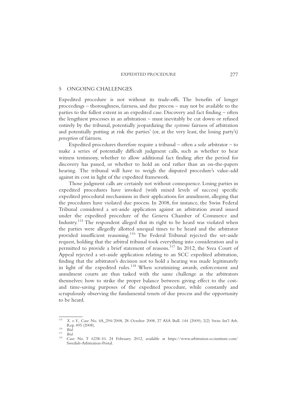#### 5 ONGOING CHALLENGES

Expedited procedure is not without its trade-offs. The benefits of longer proceedings – thoroughness, fairness, and due process – may not be available to the parties to the fullest extent in an expedited case. Discovery and fact finding – often the lengthiest processes in an arbitration – must inevitably be cut down or refused entirely by the tribunal, potentially jeopardizing the *systemic* fairness of arbitration and potentially putting at risk the parties' (or, at the very least, the losing party's) *perception* of fairness.

Expedited procedures therefore require a tribunal  $-$  often a sole arbitrator  $-$  to make a series of potentially difficult judgment calls, such as whether to hear witness testimony, whether to allow additional fact finding after the period for discovery has passed, or whether to hold an oral rather than an on-the-papers hearing. The tribunal will have to weigh the disputed procedure's value-add against its cost in light of the expedited framework.

Those judgment calls are certainly not without consequence. Losing parties in expedited procedures have invoked (with mixed levels of success) specific expedited procedural mechanisms in their applications for annulment, alleging that the procedures have violated due process. In 2008, for instance, the Swiss Federal Tribunal considered a set-aside application against an arbitration award issued under the expedited procedure of the Geneva Chamber of Commerce and Industry.115 The respondent alleged that its right to be heard was violated when the parties were allegedly allotted unequal times to be heard and the arbitrator provided insufficient reasoning.<sup>116</sup> The Federal Tribunal rejected the set-aside request, holding that the arbitral tribunal took everything into consideration and is permitted to provide a brief statement of reasons.<sup>117</sup> In 2012, the Svea Court of Appeal rejected a set-aside application relating to an SCC expedited arbitration, finding that the arbitrator's decision not to hold a hearing was made legitimately in light of the expedited rules.<sup>118</sup> When scrutinizing awards, enforcement and annulment courts are thus tasked with the same challenge as the arbitrators themselves: how to strike the proper balance between giving effect to the costand time-saving purposes of the expedited procedure, while constantly and scrupulously observing the fundamental tenets of due process and the opportunity to be heard.

<sup>115</sup> *X. v. Y.*, Case No. 4A\_294/2008, 28 October 2008, 27 ASA Bull. 144 (2009); 2(2) Swiss Int'l Arb.

Rep. 116 *Ibid.*<br>
<sup>117</sup> *Ibid.*<br>
<sup>118</sup> Case No. T 6238-10, 24 February 2012, available at https://www.arbitration.sccinstitute.com/ Swedish-Arbitration-Portal.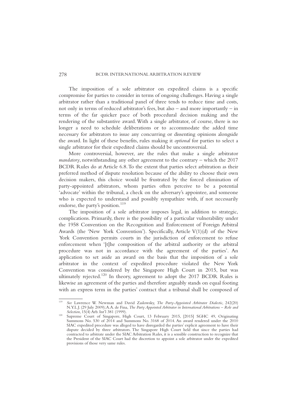The imposition of a sole arbitrator on expedited claims is a specific compromise for parties to consider in terms of ongoing challenges. Having a single arbitrator rather than a traditional panel of three tends to reduce time and costs, not only in terms of reduced arbitrator's fees, but also – and more importantly – in terms of the far quicker pace of both procedural decision making and the rendering of the substantive award.With a single arbitrator, of course, there is no longer a need to schedule deliberations or to accommodate the added time necessary for arbitrators to issue any concurring or dissenting opinions alongside the award. In light of these benefits, rules making it *optional* for parties to select a single arbitrator for their expedited claims should be uncontroversial.

More controversial, however, are the rules that make a single arbitrator *mandatory*, notwithstanding any other agreement to the contrary – which the 2017 BCDR Rules do at Article 6.8.To the extent that parties select arbitration as their preferred method of dispute resolution because of the ability to choose their own decision makers, this choice would be frustrated by the forced elimination of party-appointed arbitrators, whom parties often perceive to be a potential 'advocate' within the tribunal, a check on the adversary's appointee, and someone who is expected to understand and possibly sympathize with, if not necessarily endorse, the party's position.<sup>119</sup>

The imposition of a sole arbitrator imposes legal, in addition to strategic, complications. Primarily, there is the possibility of a particular vulnerability under the 1958 Convention on the Recognition and Enforcement of Foreign Arbitral Awards (the 'New York Convention'). Specifically, Article V(1)(d) of the New York Convention permits courts in the jurisdiction of enforcement to refuse enforcement when '[t]he composition of the arbitral authority or the arbitral procedure was not in accordance with the agreement of the parties'. An application to set aside an award on the basis that the imposition of a sole arbitrator in the context of expedited procedure violated the New York Convention was considered by the Singapore High Court in 2015, but was ultimately rejected.<sup>120</sup> In theory, agreement to adopt the 2017 BCDR Rules is likewise an agreement of the parties and therefore arguably stands on equal footing with an express term in the parties' contract that a tribunal shall be composed of

<sup>119</sup> *See* Lawrence W. Newman and David Zaslowsky, *The Party-Appointed Arbitrator Dialectic*, 242(20) N.Y.L.J. (29 July 2009);A.A. de Fina, *The Party Appointed Arbitrator in International Arbitrations – Role and*

Supreme Court of Singapore, High Court, 13 February 2015, [2015] SGHC 49, Originating Summons No. 530 of 2014 and Summons No. 3168 of 2014. An award rendered under the 2010 SIAC expedited procedure was alleged to have disregarded the parties' explicit agreement to have their dispute decided by three arbitrators. The Singapore High Court held that since the parties had contracted to arbitrate under the SIAC Arbitration Rules, it is a sensible construction to recognize that the President of the SIAC Court had the discretion to appoint a sole arbitrator under the expedited provisions of those very same rules.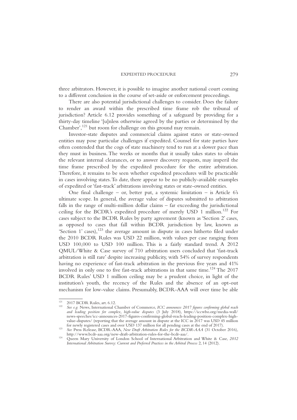three arbitrators. However, it is possible to imagine another national court coming to a different conclusion in the course of set-aside or enforcement proceedings.

There are also potential jurisdictional challenges to consider. Does the failure to render an award within the prescribed time frame rob the tribunal of jurisdiction? Article 6.12 provides something of a safeguard by providing for a thirty-day timeline '[u]nless otherwise agreed by the parties or determined by the Chamber',<sup>121</sup> but room for challenge on this ground may remain.

Investor-state disputes and commercial claims against states or state-owned entities may pose particular challenges if expedited. Counsel for state parties have often contended that the cogs of state machinery tend to run at a slower pace than they must in business. The weeks or months that it usually takes states to obtain the relevant internal clearances, or to answer discovery requests, may imperil the time frame prescribed by the expedited procedure for the entire arbitration. Therefore, it remains to be seen whether expedited procedures will be practicable in cases involving states.To date, there appear to be no publicly-available examples of expedited or 'fast-track' arbitrations involving states or state-owned entities.

One final challenge – or, better put, a systemic limitation – is Article 6's ultimate scope. In general, the average value of disputes submitted to arbitration falls in the range of multi-million dollar claims – far exceeding the jurisdictional ceiling for the BCDR's expedited procedure of merely USD 1 million.<sup>122</sup> For cases subject to the BCDR Rules by party agreement (known as 'Section 2' cases, as opposed to cases that fall within BCDR jurisdiction by law, known as 'Section  $1'$  cases),<sup>123</sup> the average amount in dispute in cases hitherto filed under the 2010 BCDR Rules was USD 22 million, with values per case ranging from USD 100,000 to USD 100 million. This is a fairly standard trend. A 2012 QMUL/White & Case survey of 710 arbitration users concluded that 'fast-track arbitration is still rare' despite increasing publicity, with 54% of survey respondents having no experience of fast-track arbitration in the previous five years and 41% involved in only one to five fast-track arbitrations in that same time.<sup>124</sup> The  $2017$ BCDR Rules' USD 1 million ceiling may be a prudent choice, in light of the institution's youth, the recency of the Rules and the absence of an opt-out mechanism for low-value claims. Presumably, BCDR-AAA will over time be able

<sup>121</sup> 2017 BCDR Rules, art. 6.12. <sup>122</sup> *See e.g.* News, International Chamber of Commerce, *ICC announces 2017 figures confirming global reach and leading position for complex, high-value disputes* (3 July 2018), https://iccwbo.org/media-wall/ news-speeches/icc-announces-2017-figures-confirming-global-reach-leading-position-complex-highvalue-disputes/ (reporting that the average amount in dispute at the ICC in 2017 was USD 45 million<br>for newly registered cases and over USD 137 million for all pending cases at the end of 2017).

for the BCDR 137 See Press Release, BCDR-AAA, *New Draft Arbitration Rules for the BCDR-AAA* (31 October 2016), http://www.bcdr-aaa.org/new-draft-arbitration-rules-for-the-bcdr-aaa/.

Queen Mary University of London School of International Arbitration and White & Case, 2012 *International Arbitration Survey: Current and Preferred Practices in the Arbitral Process* 2, 14 (2012).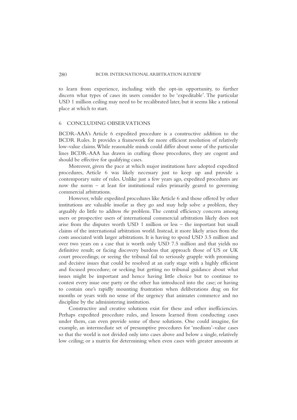to learn from experience, including with the opt-in opportunity, to further discern what types of cases its users consider to be 'expeditable'. The particular USD 1 million ceiling may need to be recalibrated later, but it seems like a rational place at which to start.

#### 6 CONCLUDING OBSERVATIONS

BCDR-AAA's Article 6 expedited procedure is a constructive addition to the BCDR Rules. It provides a framework for more efficient resolution of relatively low-value claims.While reasonable minds could differ about some of the particular lines BCDR-AAA has drawn in crafting those procedures, they are cogent and should be effective for qualifying cases.

Moreover, given the pace at which major institutions have adopted expedited procedures, Article 6 was likely necessary just to keep up and provide a contemporary suite of rules. Unlike just a few years ago, expedited procedures are now the norm – at least for institutional rules primarily geared to governing commercial arbitrations.

However, while expedited procedures like Article 6 and those offered by other institutions are valuable insofar as they go and may help solve *a* problem, they arguably do little to address *the* problem. The central efficiency concern among users or prospective users of international commercial arbitration likely does not arise from the disputes worth USD 1 million or less – the important but small claims of the international arbitration world. Instead, it more likely arises from the costs associated with larger arbitrations. It is having to spend USD 3.5 million and over two years on a case that is worth only USD 7.5 million and that yields no definitive result; or facing discovery burdens that approach those of US or UK court proceedings; or seeing the tribunal fail to seriously grapple with promising and decisive issues that could be resolved at an early stage with a highly efficient and focused procedure; or seeking but getting no tribunal guidance about what issues might be important and hence having little choice but to continue to contest every issue one party or the other has introduced into the case; or having to contain one's rapidly mounting frustration when deliberations drag on for months or years with no sense of the urgency that animates commerce and no discipline by the administering institution.

Constructive and creative solutions exist for these and other inefficiencies. Perhaps expedited procedure rules, and lessons learned from conducting cases under them, can even provide some of these solutions. One could imagine, for example, an intermediate set of presumptive procedures for 'medium'-value cases so that the world is not divided only into cases above and below a single, relatively low ceiling; or a matrix for determining when even cases with greater amounts at